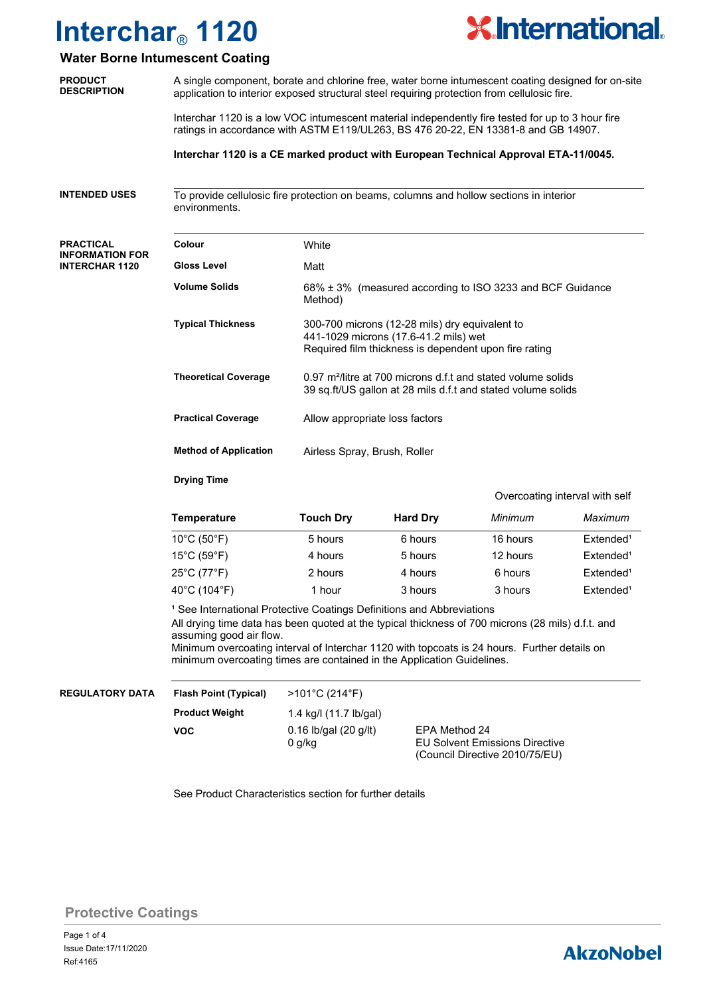

### **Water Borne Intumescent Coating**

| water Borne Intumescent Coating                 |                                                                                                                                                                                                   |                                                                                                                                                  |         |          |                                |  |
|-------------------------------------------------|---------------------------------------------------------------------------------------------------------------------------------------------------------------------------------------------------|--------------------------------------------------------------------------------------------------------------------------------------------------|---------|----------|--------------------------------|--|
| <b>PRODUCT</b><br><b>DESCRIPTION</b>            | A single component, borate and chlorine free, water borne intumescent coating designed for on-site<br>application to interior exposed structural steel requiring protection from cellulosic fire. |                                                                                                                                                  |         |          |                                |  |
|                                                 | Interchar 1120 is a low VOC intumescent material independently fire tested for up to 3 hour fire<br>ratings in accordance with ASTM E119/UL263, BS 476 20-22, EN 13381-8 and GB 14907.            |                                                                                                                                                  |         |          |                                |  |
|                                                 | Interchar 1120 is a CE marked product with European Technical Approval ETA-11/0045.                                                                                                               |                                                                                                                                                  |         |          |                                |  |
| <b>INTENDED USES</b>                            | To provide cellulosic fire protection on beams, columns and hollow sections in interior<br>environments.                                                                                          |                                                                                                                                                  |         |          |                                |  |
| <b>PRACTICAL</b>                                | Colour                                                                                                                                                                                            | White                                                                                                                                            |         |          |                                |  |
| <b>INFORMATION FOR</b><br><b>INTERCHAR 1120</b> | <b>Gloss Level</b>                                                                                                                                                                                | Matt                                                                                                                                             |         |          |                                |  |
|                                                 | <b>Volume Solids</b>                                                                                                                                                                              | 68% ± 3% (measured according to ISO 3233 and BCF Guidance<br>Method)                                                                             |         |          |                                |  |
|                                                 | <b>Typical Thickness</b>                                                                                                                                                                          | 300-700 microns (12-28 mils) dry equivalent to<br>441-1029 microns (17.6-41.2 mils) wet<br>Required film thickness is dependent upon fire rating |         |          |                                |  |
|                                                 | <b>Theoretical Coverage</b>                                                                                                                                                                       | 0.97 m <sup>2</sup> /litre at 700 microns d.f.t and stated volume solids<br>39 sq.ft/US gallon at 28 mils d.f.t and stated volume solids         |         |          |                                |  |
|                                                 | <b>Practical Coverage</b>                                                                                                                                                                         | Allow appropriate loss factors                                                                                                                   |         |          |                                |  |
|                                                 | <b>Method of Application</b>                                                                                                                                                                      | Airless Spray, Brush, Roller                                                                                                                     |         |          |                                |  |
|                                                 | <b>Drying Time</b>                                                                                                                                                                                | <b>Touch Dry</b><br><b>Hard Dry</b>                                                                                                              |         |          | Overcoating interval with self |  |
|                                                 | <b>Temperature</b>                                                                                                                                                                                |                                                                                                                                                  |         | Minimum  | Maximum                        |  |
|                                                 | $10^{\circ}$ C (50 $^{\circ}$ F)                                                                                                                                                                  |                                                                                                                                                  | 6 hours | 16 hours | Extended <sup>1</sup>          |  |
|                                                 | $15^{\circ}$ C (59 $^{\circ}$ F)                                                                                                                                                                  | 5 hours<br>4 hours                                                                                                                               | 5 hours | 12 hours | Extended <sup>1</sup>          |  |
|                                                 | 25°C (77°F)                                                                                                                                                                                       | 2 hours                                                                                                                                          | 4 hours | 6 hours  | Extended <sup>1</sup>          |  |
|                                                 |                                                                                                                                                                                                   |                                                                                                                                                  |         |          |                                |  |
|                                                 | 40°C (104°F)                                                                                                                                                                                      | 1 hour                                                                                                                                           | 3 hours | 3 hours  | Extended <sup>1</sup>          |  |

<sup>1</sup> See International Protective Coatings Definitions and Abbreviations All drying time data has been quoted at the typical thickness of 700 microns (28 mils) d.f.t. and assuming good air flow.

Minimum overcoating interval of Interchar 1120 with topcoats is 24 hours. Further details on minimum overcoating times are contained in the Application Guidelines.

| <b>REGULATORY DATA</b> | <b>Flash Point (Typical)</b> | $>101^{\circ}$ C (214 $^{\circ}$ F) |                                       |
|------------------------|------------------------------|-------------------------------------|---------------------------------------|
|                        | <b>Product Weight</b>        | 1.4 kg/l (11.7 lb/gal)              |                                       |
|                        | VOC                          | $0.16$ lb/gal (20 g/lt)             | EPA Method 24                         |
|                        |                              | 0 g/kg                              | <b>EU Solvent Emissions Directive</b> |
|                        |                              |                                     | (Council Directive 2010/75/EU)        |

See Product Characteristics section for further details

### **Protective Coatings**

# **AkzoNobel**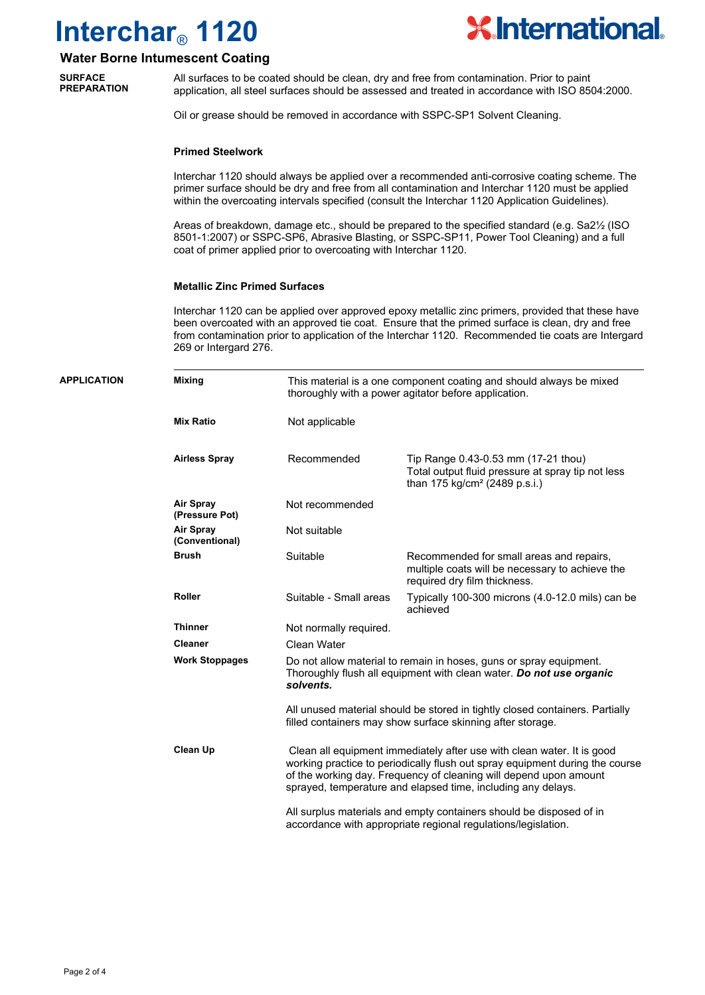

### **Water Borne Intumescent Coating**

All surfaces to be coated should be clean, dry and free from contamination. Prior to paint application, all steel surfaces should be assessed and treated in accordance with ISO 8504:2000. **SURFACE PREPARATION**

Oil or grease should be removed in accordance with SSPC-SP1 Solvent Cleaning.

#### **Primed Steelwork**

Interchar 1120 should always be applied over a recommended anti-corrosive coating scheme. The primer surface should be dry and free from all contamination and Interchar 1120 must be applied within the overcoating intervals specified (consult the Interchar 1120 Application Guidelines).

Areas of breakdown, damage etc., should be prepared to the specified standard (e.g. Sa2½ (ISO 8501-1:2007) or SSPC-SP6, Abrasive Blasting, or SSPC-SP11, Power Tool Cleaning) and a full coat of primer applied prior to overcoating with Interchar 1120.

#### **Metallic Zinc Primed Surfaces**

Interchar 1120 can be applied over approved epoxy metallic zinc primers, provided that these have been overcoated with an approved tie coat. Ensure that the primed surface is clean, dry and free from contamination prior to application of the Interchar 1120. Recommended tie coats are Intergard 269 or Intergard 276.

| <b>APPLICATION</b> | <b>Mixing</b>                      | This material is a one component coating and should always be mixed<br>thoroughly with a power agitator before application.                                                                                                                                                                                                                                                                                                                                                                                                                                                                         |                                                                                                                                       |  |  |
|--------------------|------------------------------------|-----------------------------------------------------------------------------------------------------------------------------------------------------------------------------------------------------------------------------------------------------------------------------------------------------------------------------------------------------------------------------------------------------------------------------------------------------------------------------------------------------------------------------------------------------------------------------------------------------|---------------------------------------------------------------------------------------------------------------------------------------|--|--|
|                    | Mix Ratio                          | Not applicable                                                                                                                                                                                                                                                                                                                                                                                                                                                                                                                                                                                      |                                                                                                                                       |  |  |
|                    | <b>Airless Spray</b>               | Recommended                                                                                                                                                                                                                                                                                                                                                                                                                                                                                                                                                                                         | Tip Range 0.43-0.53 mm (17-21 thou)<br>Total output fluid pressure at spray tip not less<br>than 175 kg/cm <sup>2</sup> (2489 p.s.i.) |  |  |
|                    | <b>Air Spray</b><br>(Pressure Pot) | Not recommended                                                                                                                                                                                                                                                                                                                                                                                                                                                                                                                                                                                     |                                                                                                                                       |  |  |
|                    | <b>Air Spray</b><br>(Conventional) | Not suitable                                                                                                                                                                                                                                                                                                                                                                                                                                                                                                                                                                                        |                                                                                                                                       |  |  |
|                    | <b>Brush</b>                       | Suitable                                                                                                                                                                                                                                                                                                                                                                                                                                                                                                                                                                                            | Recommended for small areas and repairs,<br>multiple coats will be necessary to achieve the<br>required dry film thickness.           |  |  |
|                    | <b>Roller</b>                      | Suitable - Small areas                                                                                                                                                                                                                                                                                                                                                                                                                                                                                                                                                                              | Typically 100-300 microns (4.0-12.0 mils) can be<br>achieved                                                                          |  |  |
|                    | <b>Thinner</b>                     | Not normally required.                                                                                                                                                                                                                                                                                                                                                                                                                                                                                                                                                                              |                                                                                                                                       |  |  |
|                    | <b>Cleaner</b>                     | Clean Water                                                                                                                                                                                                                                                                                                                                                                                                                                                                                                                                                                                         |                                                                                                                                       |  |  |
|                    | <b>Work Stoppages</b>              | Do not allow material to remain in hoses, guns or spray equipment.<br>Thoroughly flush all equipment with clean water. Do not use organic<br>solvents.<br>All unused material should be stored in tightly closed containers. Partially<br>filled containers may show surface skinning after storage.<br>Clean all equipment immediately after use with clean water. It is good<br>working practice to periodically flush out spray equipment during the course<br>of the working day. Frequency of cleaning will depend upon amount<br>sprayed, temperature and elapsed time, including any delays. |                                                                                                                                       |  |  |
|                    |                                    |                                                                                                                                                                                                                                                                                                                                                                                                                                                                                                                                                                                                     |                                                                                                                                       |  |  |
|                    | Clean Up                           |                                                                                                                                                                                                                                                                                                                                                                                                                                                                                                                                                                                                     |                                                                                                                                       |  |  |
|                    |                                    |                                                                                                                                                                                                                                                                                                                                                                                                                                                                                                                                                                                                     | All surplus materials and empty containers should be disposed of in<br>accordance with appropriate regional regulations/legislation.  |  |  |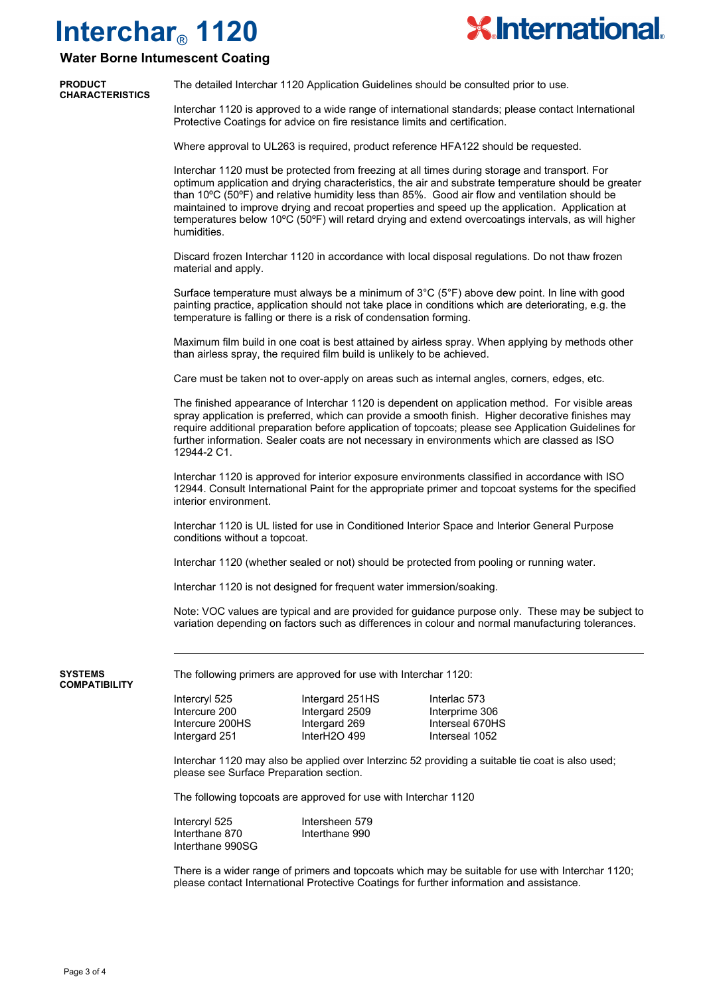

## **Water Borne Intumescent Coating**

| <b>PRODUCT</b><br>CHARACTERISTICS | The detailed Interchar 1120 Application Guidelines should be consulted prior to use.                                                                             |
|-----------------------------------|------------------------------------------------------------------------------------------------------------------------------------------------------------------|
|                                   | The contract of $\mathcal{A}$ and $\mathcal{A}$ is the contract of $\mathcal{A}$ . The contract of the contract of the contract of the contract of $\mathcal{A}$ |

Interchar 1120 is approved to a wide range of international standards; please contact International Protective Coatings for advice on fire resistance limits and certification.

Where approval to UL263 is required, product reference HFA122 should be requested.

Interchar 1120 must be protected from freezing at all times during storage and transport. For optimum application and drying characteristics, the air and substrate temperature should be greater than 10ºC (50ºF) and relative humidity less than 85%. Good air flow and ventilation should be maintained to improve drying and recoat properties and speed up the application. Application at temperatures below 10ºC (50ºF) will retard drying and extend overcoatings intervals, as will higher humidities.

Discard frozen Interchar 1120 in accordance with local disposal regulations. Do not thaw frozen material and apply.

Surface temperature must always be a minimum of 3°C (5°F) above dew point. In line with good painting practice, application should not take place in conditions which are deteriorating, e.g. the temperature is falling or there is a risk of condensation forming.

Maximum film build in one coat is best attained by airless spray. When applying by methods other than airless spray, the required film build is unlikely to be achieved.

Care must be taken not to over-apply on areas such as internal angles, corners, edges, etc.

The finished appearance of Interchar 1120 is dependent on application method. For visible areas spray application is preferred, which can provide a smooth finish. Higher decorative finishes may require additional preparation before application of topcoats; please see Application Guidelines for further information. Sealer coats are not necessary in environments which are classed as ISO 12944-2 C1.

Interchar 1120 is approved for interior exposure environments classified in accordance with ISO 12944. Consult International Paint for the appropriate primer and topcoat systems for the specified interior environment.

Interchar 1120 is UL listed for use in Conditioned Interior Space and Interior General Purpose conditions without a topcoat.

Interchar 1120 (whether sealed or not) should be protected from pooling or running water.

Interchar 1120 is not designed for frequent water immersion/soaking.

Note: VOC values are typical and are provided for guidance purpose only. These may be subject to variation depending on factors such as differences in colour and normal manufacturing tolerances.

**SYSTEMS COMPATIBILITY** The following primers are approved for use with Interchar 1120:

Intercryl 525 Intergard 251HS Interlac 573 Intercure 200 Intergard 2509 Interprime 306<br>
Intercure 200HS Intergard 269 Interseal 670HS Intercure 200HS Intergard 269 Interseal 670HS Intergard 251

Interchar 1120 may also be applied over Interzinc 52 providing a suitable tie coat is also used; please see Surface Preparation section.

The following topcoats are approved for use with Interchar 1120

Intercryl 525 Intersheen 579 Interthane 870 Interthane 990 Interthane 990SG

There is a wider range of primers and topcoats which may be suitable for use with Interchar 1120; please contact International Protective Coatings for further information and assistance.